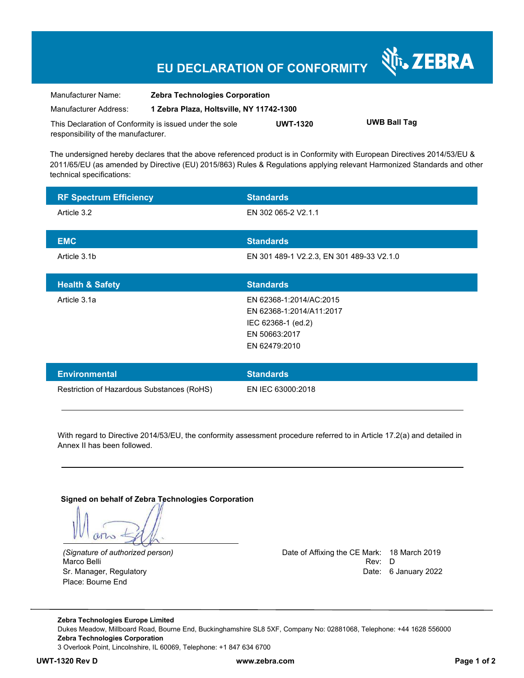## **EU DECLARATION OF CONFORMITY**

| Manufacturer Name:                                      | <b>Zebra Technologies Corporation</b>    |                 |                     |  |
|---------------------------------------------------------|------------------------------------------|-----------------|---------------------|--|
| Manufacturer Address:                                   | 1 Zebra Plaza, Holtsville, NY 11742-1300 |                 |                     |  |
| This Declaration of Conformity is issued under the sole |                                          | <b>UWT-1320</b> | <b>UWB Ball Tag</b> |  |
| responsibility of the manufacturer.                     |                                          |                 |                     |  |

The undersigned hereby declares that the above referenced product is in Conformity with European Directives 2014/53/EU & 2011/65/EU (as amended by Directive (EU) 2015/863) Rules & Regulations applying relevant Harmonized Standards and other technical specifications:

| <b>RF Spectrum Efficiency</b>              | <b>Standards</b>                                                                                            |
|--------------------------------------------|-------------------------------------------------------------------------------------------------------------|
| Article 3.2                                | EN 302 065-2 V2.1.1                                                                                         |
| <b>EMC</b>                                 | <b>Standards</b>                                                                                            |
| Article 3.1b                               | EN 301 489-1 V2.2.3, EN 301 489-33 V2.1.0                                                                   |
| <b>Health &amp; Safety</b>                 | <b>Standards</b>                                                                                            |
| Article 3.1a                               | EN 62368-1:2014/AC:2015<br>EN 62368-1:2014/A11:2017<br>IEC 62368-1 (ed.2)<br>EN 50663:2017<br>EN 62479:2010 |
| <b>Environmental</b>                       | <b>Standards</b>                                                                                            |
| Restriction of Hazardous Substances (RoHS) | EN IEC 63000:2018                                                                                           |

With regard to Directive 2014/53/EU, the conformity assessment procedure referred to in Article 17.2(a) and detailed in Annex II has been followed.

**Signed on behalf of Zebra Technologies Corporation** 

Place: Bourne End

*(Signature of authorized person)* Date of Affixing the CE Mark: 18 March 2019 Marco Belli Rev: D Sr. Manager, Regulatory **Date: 6 January 2022** 

N<sub>i</sub>, ZEBRA

**Zebra Technologies Europe Limited**  Dukes Meadow, Millboard Road, Bourne End, Buckinghamshire SL8 5XF, Company No: 02881068, Telephone: +44 1628 556000 **Zebra Technologies Corporation**  3 Overlook Point, Lincolnshire, IL 60069, Telephone: +1 847 634 6700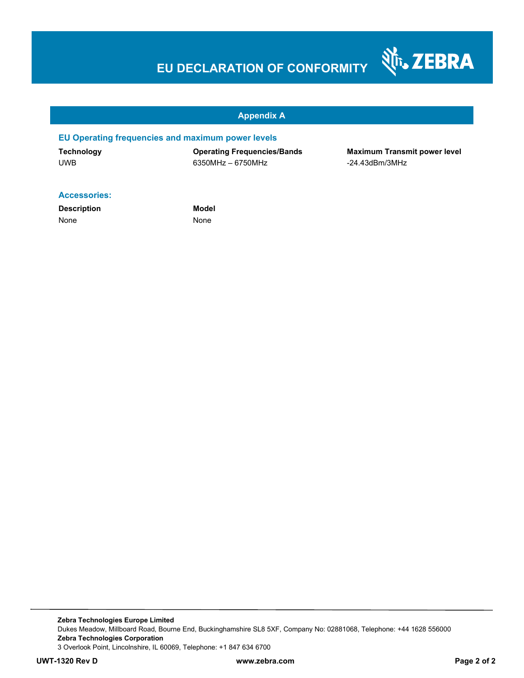# **EU DECLARATION OF CONFORMITY**



#### **Appendix A**

#### **EU Operating frequencies and maximum power levels**

UWB 6350MHz – 6750MHz -24.43dBm/3MHz

**Technology Operating Frequencies/Bands Maximum Transmit power level** 

#### **Accessories:**

**Description Model** None None